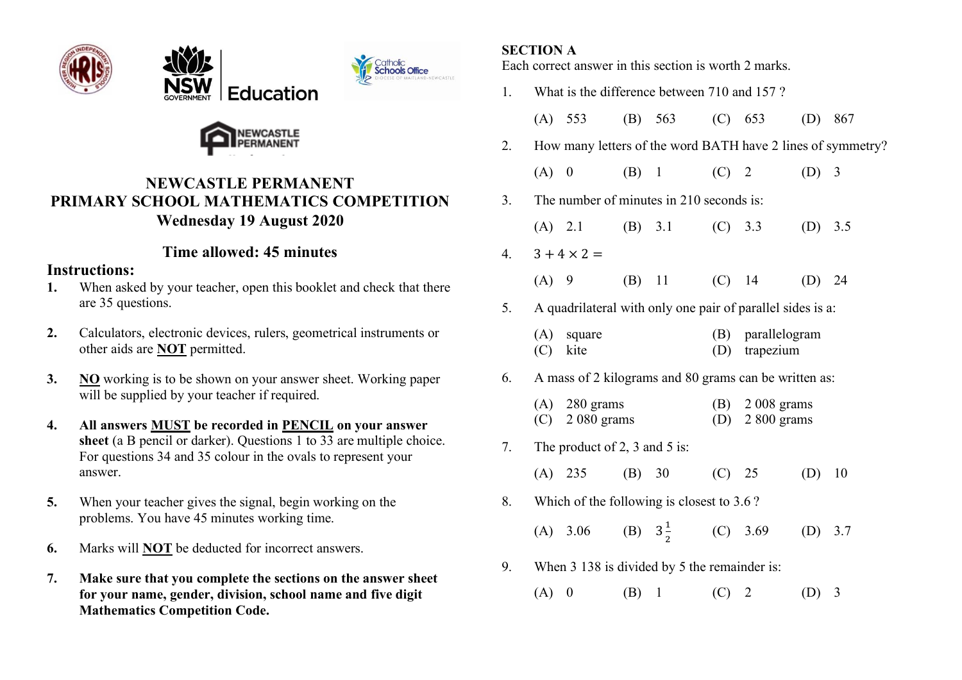







# **NEWCASTLE PERMANENT PRIMARY SCHOOL MATHEMATICS COMPETITION Wednesday 19 August 2020**

# **Time allowed: 45 minutes**

## **Instructions:**

- **1.** When asked by your teacher, open this booklet and check that there are 35 questions.
- **2.** Calculators, electronic devices, rulers, geometrical instruments or other aids are **NOT** permitted.
- **3. NO** working is to be shown on your answer sheet. Working paper will be supplied by your teacher if required.
- **4. All answers MUST be recorded in PENCIL on your answer**  sheet (a B pencil or darker). Questions 1 to 33 are multiple choice. For questions 34 and 35 colour in the ovals to represent your answer.
- **5.** When your teacher gives the signal, begin working on the problems. You have 45 minutes working time.
- **6.** Marks will **NOT** be deducted for incorrect answers.
- **7. Make sure that you complete the sections on the answer sheet for your name, gender, division, school name and five digit Mathematics Competition Code.**

## **SECTION A**

Each correct answer in this section is worth 2 marks.

| 1. | What is the difference between 710 and 157?                 |                                      |        |                     |            |                                   |     |     |  |
|----|-------------------------------------------------------------|--------------------------------------|--------|---------------------|------------|-----------------------------------|-----|-----|--|
|    |                                                             | $(A)$ 553                            |        | (B) $563$ (C) $653$ |            |                                   | (D) | 867 |  |
| 2. | How many letters of the word BATH have 2 lines of symmetry? |                                      |        |                     |            |                                   |     |     |  |
|    | (A)                                                         | $\boldsymbol{0}$                     | (B)    | $\mathbf{1}$        | $(C)$ 2    |                                   | (D) | 3   |  |
| 3. | The number of minutes in 210 seconds is:                    |                                      |        |                     |            |                                   |     |     |  |
|    |                                                             | (A) 2.1                              |        | (B) 3.1             |            | $(C)$ 3.3                         | (D) | 3.5 |  |
| 4. | $3 + 4 \times 2 =$                                          |                                      |        |                     |            |                                   |     |     |  |
|    | $(A)$ 9                                                     |                                      | (B)    | 11                  | $(C)$ 14   |                                   | (D) | 24  |  |
| 5. | A quadrilateral with only one pair of parallel sides is a:  |                                      |        |                     |            |                                   |     |     |  |
|    | (A)<br>(C)                                                  | square<br>kite                       |        |                     | (B)<br>(D) | parallelogram<br>trapezium        |     |     |  |
| 6. | A mass of 2 kilograms and 80 grams can be written as:       |                                      |        |                     |            |                                   |     |     |  |
|    |                                                             | $(A)$ 280 grams<br>$(C)$ 2 080 grams |        |                     | (D)        | $(B)$ 2 008 grams<br>$2800$ grams |     |     |  |
| 7. | The product of 2, 3 and 5 is:                               |                                      |        |                     |            |                                   |     |     |  |
|    |                                                             | $(A)$ 235                            | (B) 30 |                     | (C) 25     |                                   | (D) | 10  |  |
| 8. | Which of the following is closest to 3.6?                   |                                      |        |                     |            |                                   |     |     |  |
|    |                                                             | (A) 3.06 (B) $3\frac{1}{2}$ (C) 3.69 |        |                     |            |                                   | (D) | 3.7 |  |
| 9. | When 3 138 is divided by 5 the remainder is:                |                                      |        |                     |            |                                   |     |     |  |
|    | (A)                                                         | $\overline{\mathbf{0}}$              | (B)    | $\mathbf{1}$        | (C)        | $\overline{2}$                    | (D) | 3   |  |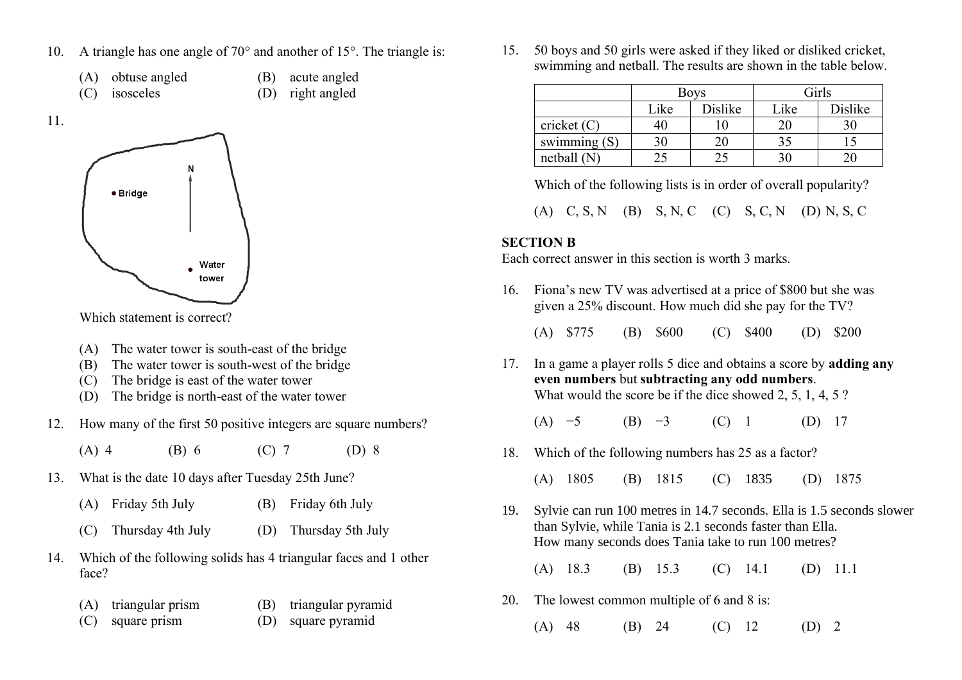- 10. A triangle has one angle of  $70^{\circ}$  and another of 15°. The triangle is:
	- (A) obtuse angled (B) acute angled
	- (C) isosceles (D) right angled



Which statement is correct?

- (A) The water tower is south-east of the bridge
- (B) The water tower is south-west of the bridge
- (C) The bridge is east of the water tower
- (D) The bridge is north-east of the water tower
- 12. How many of the first 50 positive integers are square numbers?

(A) 4 (B) 6 (C) 7 (D) 8

- 13. What is the date 10 days after Tuesday 25th June?
	- (A) Friday 5th July (B) Friday 6th July
	- (C) Thursday 4th July (D) Thursday 5th July
- 14. Which of the following solids has 4 triangular faces and 1 other face?
	- (A) triangular prism (B) triangular pyramid
	- (C) square prism (D) square pyramid

15. 50 boys and 50 girls were asked if they liked or disliked cricket, swimming and netball. The results are shown in the table below.

|                |      | <b>Boys</b> | Girls |         |  |
|----------------|------|-------------|-------|---------|--|
|                | Like | Dislike     | Like  | Dislike |  |
| cricket $(C)$  |      |             | 20    | 30      |  |
| swimming $(S)$ | 30   | 20          | 35    |         |  |
| netball $(N)$  |      |             |       |         |  |

Which of the following lists is in order of overall popularity?

(A) C, S, N (B) S, N, C (C) S, C, N (D) N, S, C

#### **SECTION B**

Each correct answer in this section is worth 3 marks.

16. Fiona's new TV was advertised at a price of \$800 but she was given a 25% discount. How much did she pay for the TV?

(A) \$775 (B) \$600 (C) \$400 (D) \$200

- 17. In a game a player rolls 5 dice and obtains a score by **adding any even numbers** but **subtracting any odd numbers**. What would the score be if the dice showed 2, 5, 1, 4, 5 ?
	- (A)  $-5$  (B)  $-3$  (C) 1 (D) 17
- 18. Which of the following numbers has 25 as a factor?
	- (A) 1805 (B) 1815 (C) 1835 (D) 1875
- 19. Sylvie can run 100 metres in 14.7 seconds. Ella is 1.5 seconds slower than Sylvie, while Tania is 2.1 seconds faster than Ella. How many seconds does Tania take to run 100 metres?

(A) 18.3 (B) 15.3 (C) 14.1 (D) 11.1

- 20. The lowest common multiple of 6 and 8 is:
	- (A) 48 (B) 24 (C) 12 (D) 2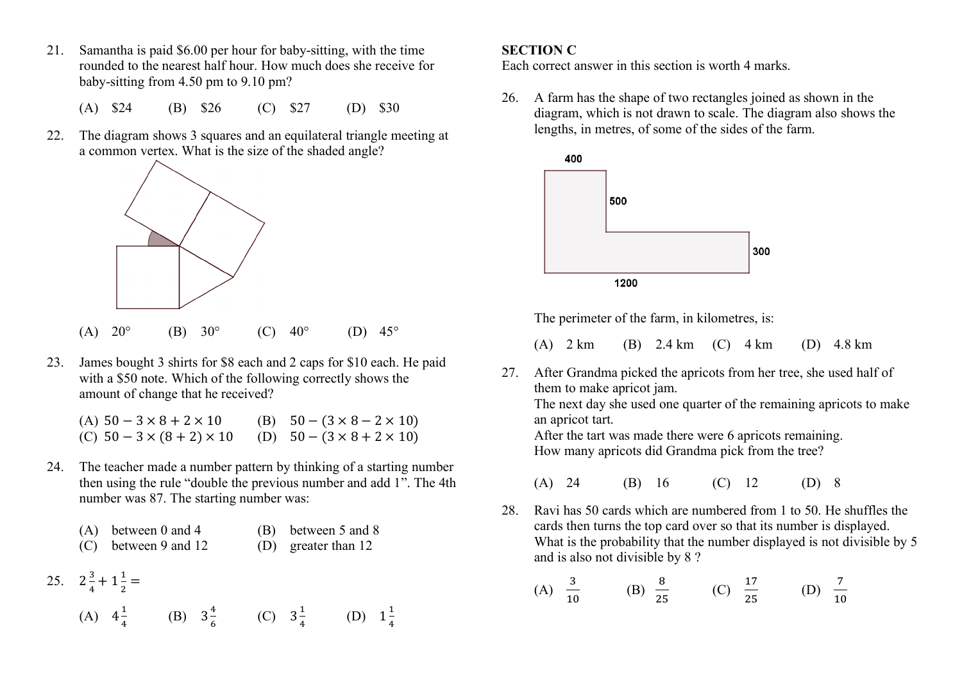- 21. Samantha is paid \$6.00 per hour for baby-sitting, with the time rounded to the nearest half hour. How much does she receive for baby-sitting from 4.50 pm to 9.10 pm?
	- (A) \$24 (B) \$26 (C) \$27 (D) \$30
- 22. The diagram shows 3 squares and an equilateral triangle meeting at a common vertex. What is the size of the shaded angle?



- (A)  $20^{\circ}$  (B)  $30^{\circ}$  (C)  $40^{\circ}$  (D)  $45^{\circ}$
- 23. James bought 3 shirts for \$8 each and 2 caps for \$10 each. He paid with a \$50 note. Which of the following correctly shows the amount of change that he received?

| (A) $50 - 3 \times 8 + 2 \times 10$                                         | (B) $50 - (3 \times 8 - 2 \times 10)$ |
|-----------------------------------------------------------------------------|---------------------------------------|
| (C) $50 - 3 \times (8 + 2) \times 10$ (D) $50 - (3 \times 8 + 2 \times 10)$ |                                       |

24. The teacher made a number pattern by thinking of a starting number then using the rule "double the previous number and add 1". The 4th number was 87. The starting number was:

| $(A)$ between 0 and 4 | (B) between 5 and 8 |  |
|-----------------------|---------------------|--|
|-----------------------|---------------------|--|

- (C) between 9 and 12 (D) greater than 12
- 25.  $2\frac{3}{4}$  $\frac{3}{4} + 1\frac{1}{2}$  $\frac{1}{2}$  =

(A) 
$$
4\frac{1}{4}
$$
 (B)  $3\frac{4}{6}$  (C)  $3\frac{1}{4}$  (D)  $1\frac{1}{4}$ 

#### **SECTION C**

Each correct answer in this section is worth 4 marks.

26. A farm has the shape of two rectangles joined as shown in the diagram, which is not drawn to scale. The diagram also shows the lengths, in metres, of some of the sides of the farm.



The perimeter of the farm, in kilometres, is:

- (A) 2 km (B) 2.4 km (C) 4 km (D) 4.8 km
- 27. After Grandma picked the apricots from her tree, she used half of them to make apricot jam. The next day she used one quarter of the remaining apricots to make

an apricot tart. After the tart was made there were 6 apricots remaining.

How many apricots did Grandma pick from the tree?

- (A) 24 (B) 16 (C) 12 (D) 8
- 28. Ravi has 50 cards which are numbered from 1 to 50. He shuffles the cards then turns the top card over so that its number is displayed. What is the probability that the number displayed is not divisible by 5 and is also not divisible by 8 ?

(A) 
$$
\frac{3}{10}
$$
 (B)  $\frac{8}{25}$  (C)  $\frac{17}{25}$  (D)  $\frac{7}{10}$